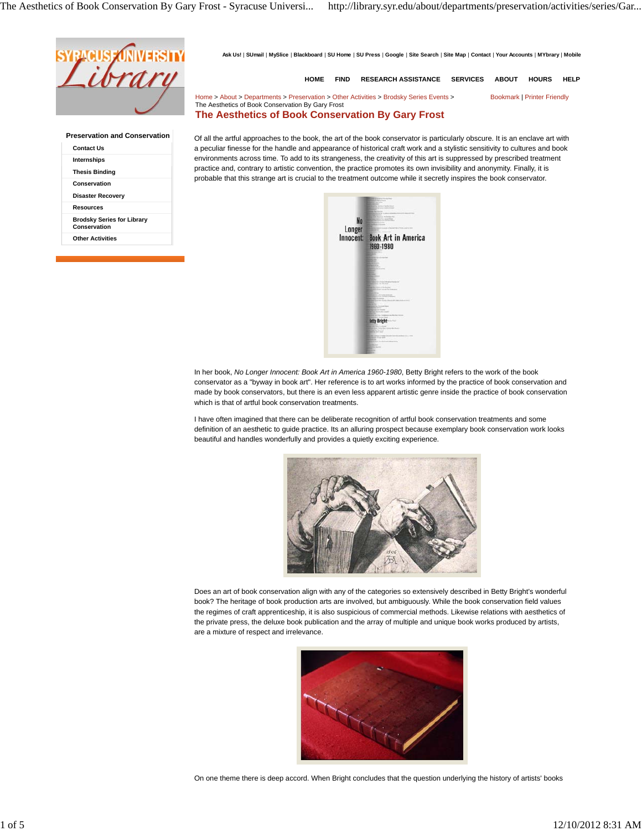

**Preservation and Conservation Contact Us Internships Thesis Binding Conservation Disaster Recovery Resources Brodsky Series for Library Conservation Other Activities**

Ask Us! | SUmail | MySlice | Blackboard | SU Home | SU Press | Google | Site Search | Site Map | Contact | Your Accounts | MYbrary | Mobile

**HOME FIND RESEARCH ASSISTANCE SERVICES ABOUT HOURS HELP**

Home > About > Departments > Preservation > Other Activities > Brodsky Series Events > Bookmark | Printer Friendly The Aesthetics of Book Conservation By Gary Frost

# **The Aesthetics of Book Conservation By Gary Frost**

Of all the artful approaches to the book, the art of the book conservator is particularly obscure. It is an enclave art with a peculiar finesse for the handle and appearance of historical craft work and a stylistic sensitivity to cultures and book environments across time. To add to its strangeness, the creativity of this art is suppressed by prescribed treatment practice and, contrary to artistic convention, the practice promotes its own invisibility and anonymity. Finally, it is probable that this strange art is crucial to the treatment outcome while it secretly inspires the book conservator.



In her book, *No Longer Innocent: Book Art in America 1960-1980*, Betty Bright refers to the work of the book conservator as a "byway in book art". Her reference is to art works informed by the practice of book conservation and made by book conservators, but there is an even less apparent artistic genre inside the practice of book conservation which is that of artful book conservation treatments.

I have often imagined that there can be deliberate recognition of artful book conservation treatments and some definition of an aesthetic to guide practice. Its an alluring prospect because exemplary book conservation work looks beautiful and handles wonderfully and provides a quietly exciting experience.



Does an art of book conservation align with any of the categories so extensively described in Betty Bright's wonderful book? The heritage of book production arts are involved, but ambiguously. While the book conservation field values the regimes of craft apprenticeship, it is also suspicious of commercial methods. Likewise relations with aesthetics of the private press, the deluxe book publication and the array of multiple and unique book works produced by artists, are a mixture of respect and irrelevance.



On one theme there is deep accord. When Bright concludes that the question underlying the history of artists' books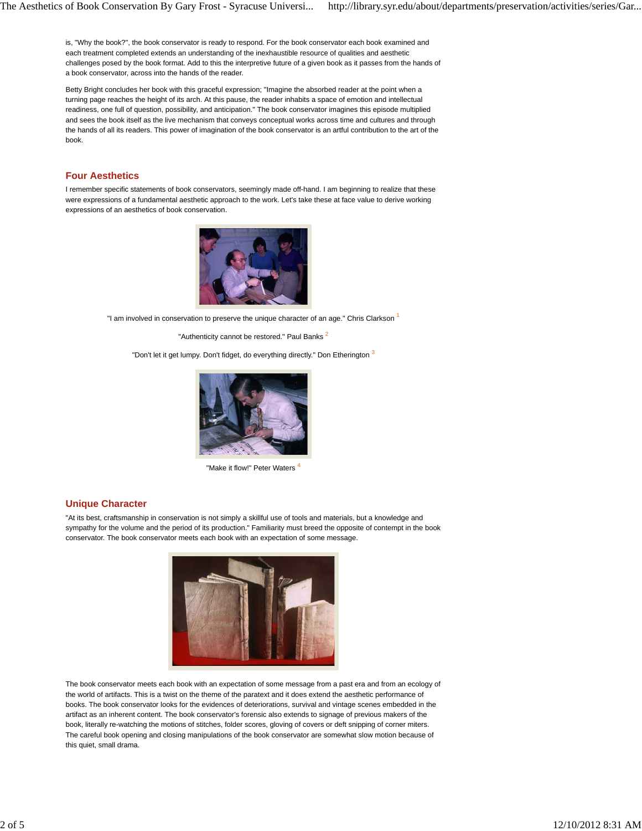is, "Why the book?", the book conservator is ready to respond. For the book conservator each book examined and each treatment completed extends an understanding of the inexhaustible resource of qualities and aesthetic challenges posed by the book format. Add to this the interpretive future of a given book as it passes from the hands of a book conservator, across into the hands of the reader.

Betty Bright concludes her book with this graceful expression; "Imagine the absorbed reader at the point when a turning page reaches the height of its arch. At this pause, the reader inhabits a space of emotion and intellectual readiness, one full of question, possibility, and anticipation." The book conservator imagines this episode multiplied and sees the book itself as the live mechanism that conveys conceptual works across time and cultures and through the hands of all its readers. This power of imagination of the book conservator is an artful contribution to the art of the book.

### **Four Aesthetics**

I remember specific statements of book conservators, seemingly made off-hand. I am beginning to realize that these were expressions of a fundamental aesthetic approach to the work. Let's take these at face value to derive working expressions of an aesthetics of book conservation.



"I am involved in conservation to preserve the unique character of an age." Chris Clarkson 1

"Authenticity cannot be restored." Paul Banks<sup>2</sup>

"Don't let it get lumpy. Don't fidget, do everything directly." Don Etherington 3



"Make it flow!" Peter Waters

#### **Unique Character**

"At its best, craftsmanship in conservation is not simply a skillful use of tools and materials, but a knowledge and sympathy for the volume and the period of its production." Familiarity must breed the opposite of contempt in the book conservator. The book conservator meets each book with an expectation of some message.



The book conservator meets each book with an expectation of some message from a past era and from an ecology of the world of artifacts. This is a twist on the theme of the paratext and it does extend the aesthetic performance of books. The book conservator looks for the evidences of deteriorations, survival and vintage scenes embedded in the artifact as an inherent content. The book conservator's forensic also extends to signage of previous makers of the book, literally re-watching the motions of stitches, folder scores, gloving of covers or deft snipping of corner miters. The careful book opening and closing manipulations of the book conservator are somewhat slow motion because of this quiet, small drama.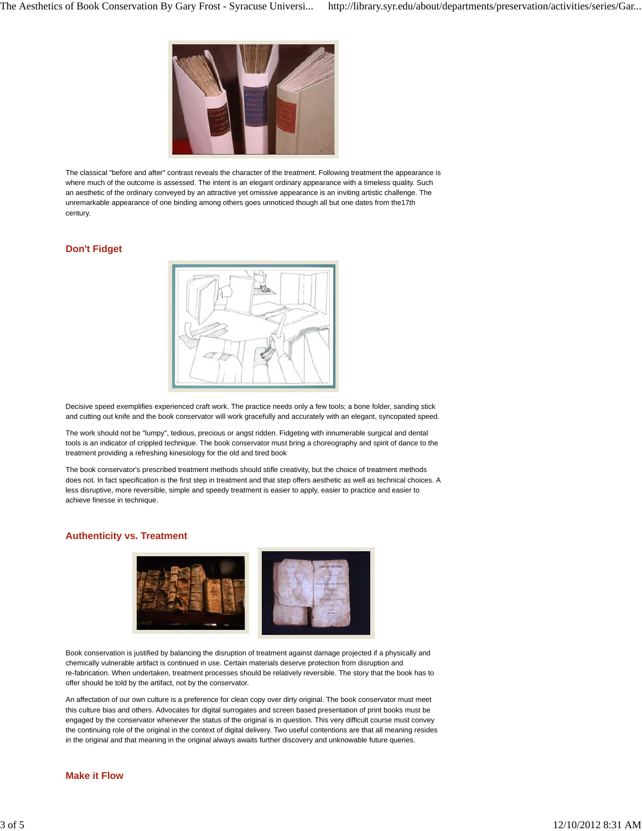

The classical "before and after" contrast reveals the character of the treatment. Following treatment the appearance is where much of the outcome is assessed. The intent is an elegant ordinary appearance with a timeless quality. Such an aesthetic of the ordinary conveyed by an attractive yet omissive appearance is an inviting artistic challenge. The unremarkable appearance of one binding among others goes unnoticed though all but one dates from the17th century.

## **Don't Fidget**



Decisive speed exemplifies experienced craft work. The practice needs only a few tools; a bone folder, sanding stick and cutting out knife and the book conservator will work gracefully and accurately with an elegant, syncopated speed.

The work should not be "lumpy", tedious, precious or angst ridden. Fidgeting with innumerable surgical and dental tools is an indicator of crippled technique. The book conservator must bring a choreography and spirit of dance to the treatment providing a refreshing kinesiology for the old and tired book

The book conservator's prescribed treatment methods should stifle creativity, but the choice of treatment methods does not. In fact specification is the first step in treatment and that step offers aesthetic as well as technical choices. A less disruptive, more reversible, simple and speedy treatment is easier to apply, easier to practice and easier to achieve finesse in technique.

#### **Authenticity vs. Treatment**



Book conservation is justified by balancing the disruption of treatment against damage projected if a physically and chemically vulnerable artifact is continued in use. Certain materials deserve protection from disruption and re-fabrication. When undertaken, treatment processes should be relatively reversible. The story that the book has to offer should be told by the artifact, not by the conservator.

An affectation of our own culture is a preference for clean copy over dirty original. The book conservator must meet this culture bias and others. Advocates for digital surrogates and screen based presentation of print books must be engaged by the conservator whenever the status of the original is in question. This very difficult course must convey the continuing role of the original in the context of digital delivery. Two useful contentions are that all meaning resides in the original and that meaning in the original always awaits further discovery and unknowable future queries.

#### **Make it Flow**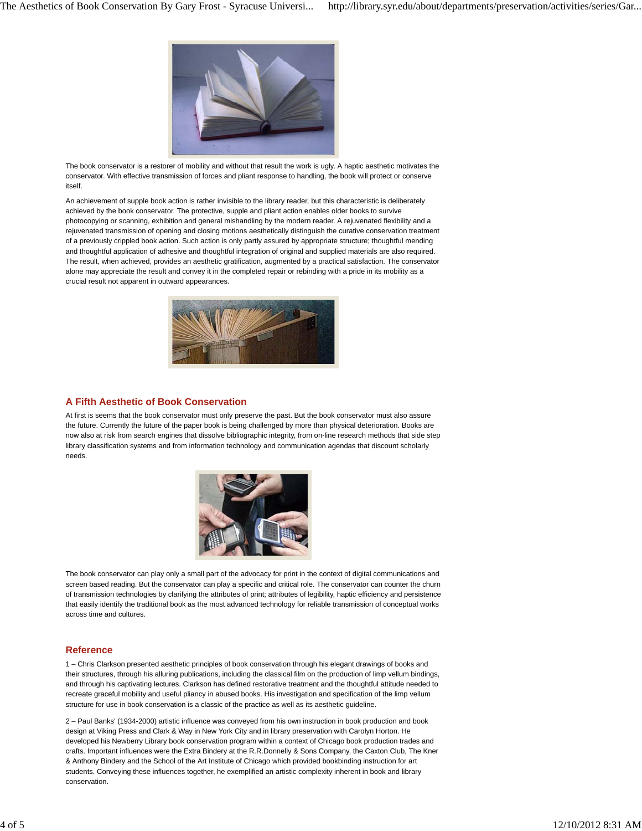

The book conservator is a restorer of mobility and without that result the work is ugly. A haptic aesthetic motivates the conservator. With effective transmission of forces and pliant response to handling, the book will protect or conserve itself.

An achievement of supple book action is rather invisible to the library reader, but this characteristic is deliberately achieved by the book conservator. The protective, supple and pliant action enables older books to survive photocopying or scanning, exhibition and general mishandling by the modern reader. A rejuvenated flexibility and a rejuvenated transmission of opening and closing motions aesthetically distinguish the curative conservation treatment of a previously crippled book action. Such action is only partly assured by appropriate structure; thoughtful mending and thoughtful application of adhesive and thoughtful integration of original and supplied materials are also required. The result, when achieved, provides an aesthetic gratification, augmented by a practical satisfaction. The conservator alone may appreciate the result and convey it in the completed repair or rebinding with a pride in its mobility as a crucial result not apparent in outward appearances.



#### **A Fifth Aesthetic of Book Conservation**

At first is seems that the book conservator must only preserve the past. But the book conservator must also assure the future. Currently the future of the paper book is being challenged by more than physical deterioration. Books are now also at risk from search engines that dissolve bibliographic integrity, from on-line research methods that side step library classification systems and from information technology and communication agendas that discount scholarly needs.



The book conservator can play only a small part of the advocacy for print in the context of digital communications and screen based reading. But the conservator can play a specific and critical role. The conservator can counter the churn of transmission technologies by clarifying the attributes of print; attributes of legibility, haptic efficiency and persistence that easily identify the traditional book as the most advanced technology for reliable transmission of conceptual works across time and cultures.

## **Reference**

1 – Chris Clarkson presented aesthetic principles of book conservation through his elegant drawings of books and their structures, through his alluring publications, including the classical film on the production of limp vellum bindings, and through his captivating lectures. Clarkson has defined restorative treatment and the thoughtful attitude needed to recreate graceful mobility and useful pliancy in abused books. His investigation and specification of the limp vellum structure for use in book conservation is a classic of the practice as well as its aesthetic guideline.

2 – Paul Banks' (1934-2000) artistic influence was conveyed from his own instruction in book production and book design at Viking Press and Clark & Way in New York City and in library preservation with Carolyn Horton. He developed his Newberry Library book conservation program within a context of Chicago book production trades and crafts. Important influences were the Extra Bindery at the R.R.Donnelly & Sons Company, the Caxton Club, The Kner & Anthony Bindery and the School of the Art Institute of Chicago which provided bookbinding instruction for art students. Conveying these influences together, he exemplified an artistic complexity inherent in book and library conservation.